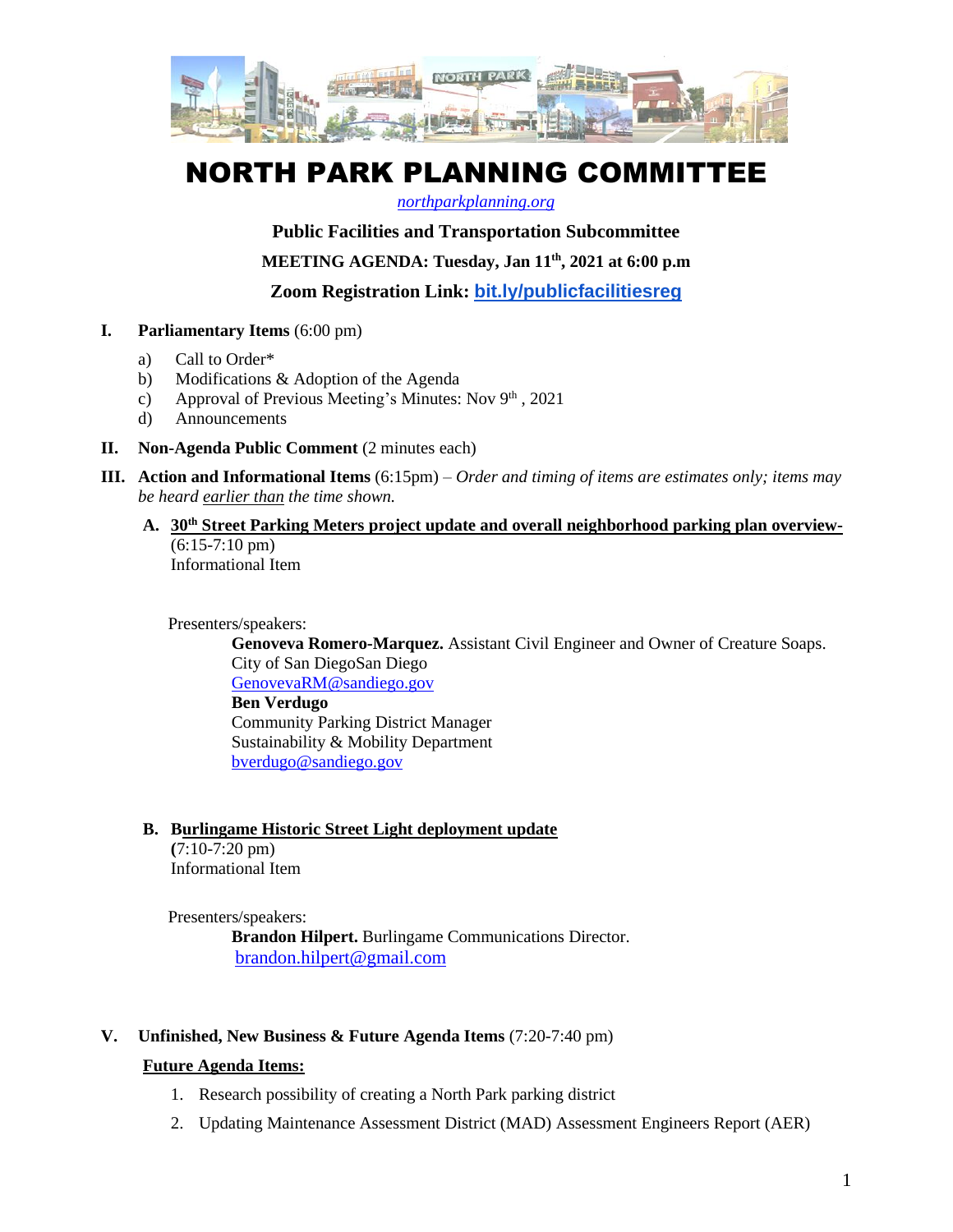

# NORTH PARK PLANNING COMMITTEE

#### *[northparkplanning.org](http://www.northparkplanning.org/)*

**Public Facilities and Transportation Subcommittee**

**MEETING AGENDA: Tuesday, Jan 11th, 2021 at 6:00 p.m**

**Zoom Registration Link: [bit.ly/publicfacilitiesreg](http://bit.ly/publicfacilitiesreg)**

- **I. Parliamentary Items** (6:00 pm)
	- a) Call to Order\*
	- b) Modifications & Adoption of the Agenda
	- c) Approval of Previous Meeting's Minutes: Nov  $9<sup>th</sup>$ , 2021
	- d) Announcements
- **II. Non-Agenda Public Comment** (2 minutes each)
- **III. Action and Informational Items** (6:15pm) *Order and timing of items are estimates only; items may be heard earlier than the time shown.*
	- **A. 30th Street Parking Meters project update and overall neighborhood parking plan overview-** (6:15-7:10 pm)

Informational Item

### Presenters/speakers:

**Genoveva Romero-Marquez.** Assistant Civil Engineer and Owner of Creature Soaps. City of San DiegoSan Diego [GenovevaRM@sandiego.gov](mailto:GenovevaRM@sandiego.gov) **Ben Verdugo** Community Parking District Manager Sustainability & Mobility Department [bverdugo@sandiego.gov](mailto:bverdugo@sandiego.gov)

# **B. Burlingame Historic Street Light deployment update**

**(**7:10-7:20 pm) Informational Item

Presenters/speakers: **Brandon Hilpert.** Burlingame Communications Director. brandon.hilpert@gmail.com

# **V. Unfinished, New Business & Future Agenda Items** (7:20-7:40 pm)

# **Future Agenda Items:**

- 1. Research possibility of creating a North Park parking district
- 2. Updating Maintenance Assessment District (MAD) Assessment Engineers Report (AER)